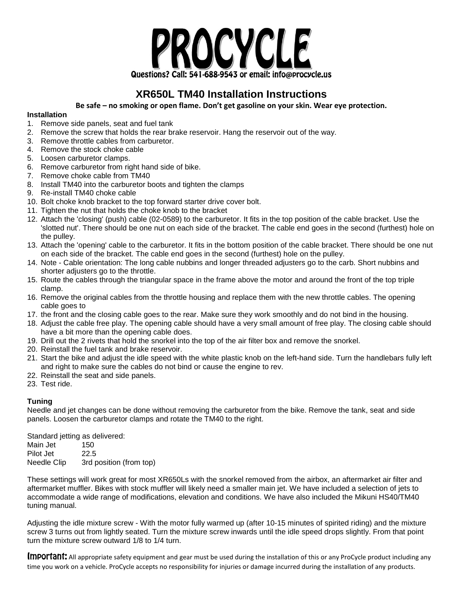

## **XR650L TM40 Installation Instructions**

**Be safe – no smoking or open flame. Don't get gasoline on your skin. Wear eye protection.**

## **Installation**

- 1. Remove side panels, seat and fuel tank
- 2. Remove the screw that holds the rear brake reservoir. Hang the reservoir out of the way.
- 3. Remove throttle cables from carburetor.
- 4. Remove the stock choke cable
- 5. Loosen carburetor clamps.
- 6. Remove carburetor from right hand side of bike.
- 7. Remove choke cable from TM40
- 8. Install TM40 into the carburetor boots and tighten the clamps
- 9. Re-install TM40 choke cable
- 10. Bolt choke knob bracket to the top forward starter drive cover bolt.
- 11. Tighten the nut that holds the choke knob to the bracket
- 12. Attach the 'closing' (push) cable (02-0589) to the carburetor. It fits in the top position of the cable bracket. Use the 'slotted nut'. There should be one nut on each side of the bracket. The cable end goes in the second (furthest) hole on the pulley.
- 13. Attach the 'opening' cable to the carburetor. It fits in the bottom position of the cable bracket. There should be one nut on each side of the bracket. The cable end goes in the second (furthest) hole on the pulley.
- 14. Note Cable orientation: The long cable nubbins and longer threaded adjusters go to the carb. Short nubbins and shorter adjusters go to the throttle.
- 15. Route the cables through the triangular space in the frame above the motor and around the front of the top triple clamp.
- 16. Remove the original cables from the throttle housing and replace them with the new throttle cables. The opening cable goes to
- 17. the front and the closing cable goes to the rear. Make sure they work smoothly and do not bind in the housing.
- 18. Adjust the cable free play. The opening cable should have a very small amount of free play. The closing cable should have a bit more than the opening cable does.
- 19. Drill out the 2 rivets that hold the snorkel into the top of the air filter box and remove the snorkel.
- 20. Reinstall the fuel tank and brake reservoir.
- 21. Start the bike and adjust the idle speed with the white plastic knob on the left-hand side. Turn the handlebars fully left and right to make sure the cables do not bind or cause the engine to rev.
- 22. Reinstall the seat and side panels.
- 23. Test ride.

## **Tuning**

Needle and jet changes can be done without removing the carburetor from the bike. Remove the tank, seat and side panels. Loosen the carburetor clamps and rotate the TM40 to the right.

Standard jetting as delivered: Main Jet 150 Pilot Jet 22.5 Needle Clip 3rd position (from top)

These settings will work great for most XR650Ls with the snorkel removed from the airbox, an aftermarket air filter and aftermarket muffler. Bikes with stock muffler will likely need a smaller main jet. We have included a selection of jets to accommodate a wide range of modifications, elevation and conditions. We have also included the Mikuni HS40/TM40 tuning manual.

Adjusting the idle mixture screw - With the motor fully warmed up (after 10-15 minutes of spirited riding) and the mixture screw 3 turns out from lightly seated. Turn the mixture screw inwards until the idle speed drops slightly. From that point turn the mixture screw outward 1/8 to 1/4 turn.

Important: All appropriate safety equipment and gear must be used during the installation of this or any ProCycle product including any time you work on a vehicle. ProCycle accepts no responsibility for injuries or damage incurred during the installation of any products.